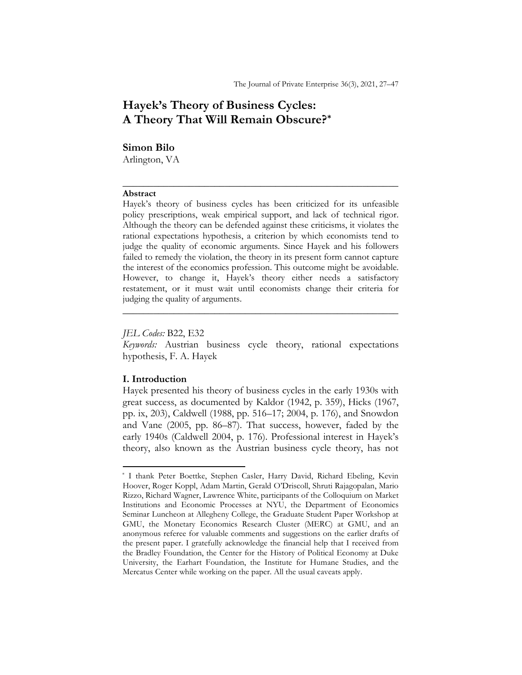# Hayek's Theory of Business Cycles: A Theory That Will Remain Obscure?\*

#### Simon Bilo

Arlington, VA

#### Abstract

Hayek's theory of business cycles has been criticized for its unfeasible policy prescriptions, weak empirical support, and lack of technical rigor. Although the theory can be defended against these criticisms, it violates the rational expectations hypothesis, a criterion by which economists tend to judge the quality of economic arguments. Since Hayek and his followers failed to remedy the violation, the theory in its present form cannot capture the interest of the economics profession. This outcome might be avoidable. However, to change it, Hayek's theory either needs a satisfactory restatement, or it must wait until economists change their criteria for judging the quality of arguments.

 $\frac{1}{2}$  ,  $\frac{1}{2}$  ,  $\frac{1}{2}$  ,  $\frac{1}{2}$  ,  $\frac{1}{2}$  ,  $\frac{1}{2}$  ,  $\frac{1}{2}$  ,  $\frac{1}{2}$  ,  $\frac{1}{2}$  ,  $\frac{1}{2}$  ,  $\frac{1}{2}$  ,  $\frac{1}{2}$  ,  $\frac{1}{2}$  ,  $\frac{1}{2}$  ,  $\frac{1}{2}$  ,  $\frac{1}{2}$  ,  $\frac{1}{2}$  ,  $\frac{1}{2}$  ,  $\frac{1$ 

#### JEL Codes: B22, E32

Keywords: Austrian business cycle theory, rational expectations hypothesis, F. A. Hayek

 $\frac{1}{2}$  ,  $\frac{1}{2}$  ,  $\frac{1}{2}$  ,  $\frac{1}{2}$  ,  $\frac{1}{2}$  ,  $\frac{1}{2}$  ,  $\frac{1}{2}$  ,  $\frac{1}{2}$  ,  $\frac{1}{2}$  ,  $\frac{1}{2}$  ,  $\frac{1}{2}$  ,  $\frac{1}{2}$  ,  $\frac{1}{2}$  ,  $\frac{1}{2}$  ,  $\frac{1}{2}$  ,  $\frac{1}{2}$  ,  $\frac{1}{2}$  ,  $\frac{1}{2}$  ,  $\frac{1$ 

# I. Introduction

 $\overline{a}$ 

Hayek presented his theory of business cycles in the early 1930s with great success, as documented by Kaldor (1942, p. 359), Hicks (1967, pp. ix, 203), Caldwell (1988, pp. 516–17; 2004, p. 176), and Snowdon and Vane (2005, pp. 86–87). That success, however, faded by the early 1940s (Caldwell 2004, p. 176). Professional interest in Hayek's theory, also known as the Austrian business cycle theory, has not

<sup>\*</sup> I thank Peter Boettke, Stephen Casler, Harry David, Richard Ebeling, Kevin Hoover, Roger Koppl, Adam Martin, Gerald O'Driscoll, Shruti Rajagopalan, Mario Rizzo, Richard Wagner, Lawrence White, participants of the Colloquium on Market Institutions and Economic Processes at NYU, the Department of Economics Seminar Luncheon at Allegheny College, the Graduate Student Paper Workshop at GMU, the Monetary Economics Research Cluster (MERC) at GMU, and an anonymous referee for valuable comments and suggestions on the earlier drafts of the present paper. I gratefully acknowledge the financial help that I received from the Bradley Foundation, the Center for the History of Political Economy at Duke University, the Earhart Foundation, the Institute for Humane Studies, and the Mercatus Center while working on the paper. All the usual caveats apply.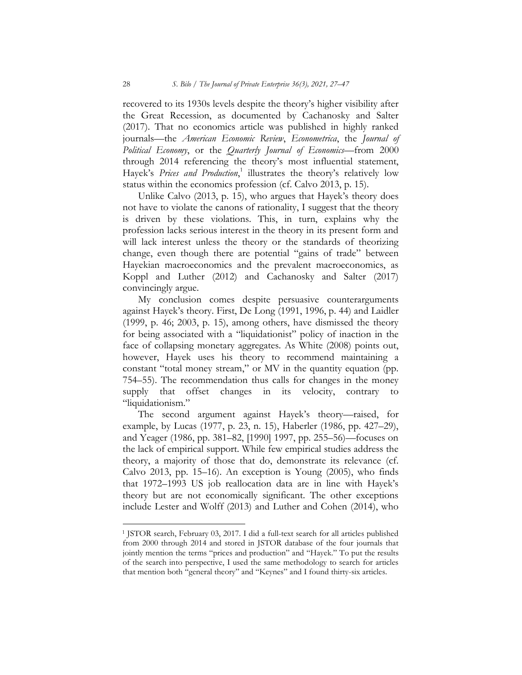recovered to its 1930s levels despite the theory's higher visibility after the Great Recession, as documented by Cachanosky and Salter (2017). That no economics article was published in highly ranked journals—the American Economic Review, Econometrica, the Journal of  $Polritical\; Economy$ , or the Quarterly Journal of Economics—from 2000 through 2014 referencing the theory's most influential statement, Hayek's Prices and Production,<sup>1</sup> illustrates the theory's relatively low status within the economics profession (cf. Calvo 2013, p. 15).

Unlike Calvo (2013, p. 15), who argues that Hayek's theory does not have to violate the canons of rationality, I suggest that the theory is driven by these violations. This, in turn, explains why the profession lacks serious interest in the theory in its present form and will lack interest unless the theory or the standards of theorizing change, even though there are potential "gains of trade" between Hayekian macroeconomics and the prevalent macroeconomics, as Koppl and Luther (2012) and Cachanosky and Salter (2017) convincingly argue.

My conclusion comes despite persuasive counterarguments against Hayek's theory. First, De Long (1991, 1996, p. 44) and Laidler (1999, p. 46; 2003, p. 15), among others, have dismissed the theory for being associated with a "liquidationist" policy of inaction in the face of collapsing monetary aggregates. As White (2008) points out, however, Hayek uses his theory to recommend maintaining a constant "total money stream," or MV in the quantity equation (pp. 754–55). The recommendation thus calls for changes in the money supply that offset changes in its velocity, contrary to "liquidationism."

The second argument against Hayek's theory—raised, for example, by Lucas (1977, p. 23, n. 15), Haberler (1986, pp. 427–29), and Yeager (1986, pp. 381–82, [1990] 1997, pp. 255–56)—focuses on the lack of empirical support. While few empirical studies address the theory, a majority of those that do, demonstrate its relevance (cf. Calvo 2013, pp. 15–16). An exception is Young (2005), who finds that 1972–1993 US job reallocation data are in line with Hayek's theory but are not economically significant. The other exceptions include Lester and Wolff (2013) and Luther and Cohen (2014), who

<sup>&</sup>lt;sup>1</sup> JSTOR search, February 03, 2017. I did a full-text search for all articles published from 2000 through 2014 and stored in JSTOR database of the four journals that jointly mention the terms "prices and production" and "Hayek." To put the results of the search into perspective, I used the same methodology to search for articles that mention both "general theory" and "Keynes" and I found thirty-six articles.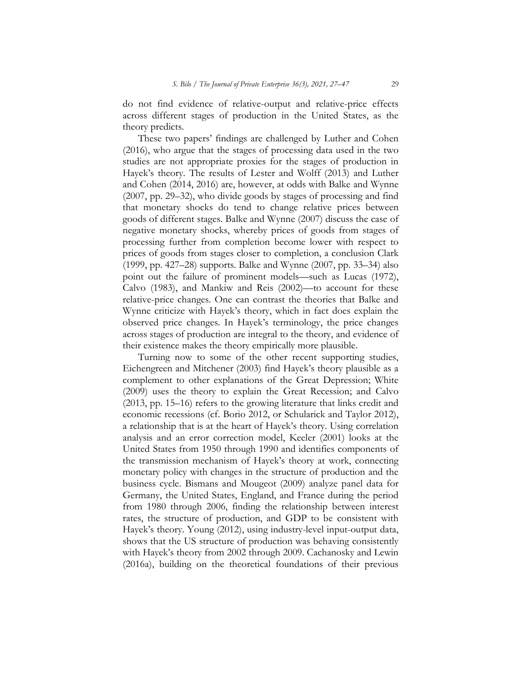do not find evidence of relative-output and relative-price effects across different stages of production in the United States, as the theory predicts.

These two papers' findings are challenged by Luther and Cohen (2016), who argue that the stages of processing data used in the two studies are not appropriate proxies for the stages of production in Hayek's theory. The results of Lester and Wolff (2013) and Luther and Cohen (2014, 2016) are, however, at odds with Balke and Wynne (2007, pp. 29–32), who divide goods by stages of processing and find that monetary shocks do tend to change relative prices between goods of different stages. Balke and Wynne (2007) discuss the case of negative monetary shocks, whereby prices of goods from stages of processing further from completion become lower with respect to prices of goods from stages closer to completion, a conclusion Clark (1999, pp. 427–28) supports. Balke and Wynne (2007, pp. 33–34) also point out the failure of prominent models—such as Lucas (1972), Calvo (1983), and Mankiw and Reis (2002)—to account for these relative-price changes. One can contrast the theories that Balke and Wynne criticize with Hayek's theory, which in fact does explain the observed price changes. In Hayek's terminology, the price changes across stages of production are integral to the theory, and evidence of their existence makes the theory empirically more plausible.

Turning now to some of the other recent supporting studies, Eichengreen and Mitchener (2003) find Hayek's theory plausible as a complement to other explanations of the Great Depression; White (2009) uses the theory to explain the Great Recession; and Calvo (2013, pp. 15–16) refers to the growing literature that links credit and economic recessions (cf. Borio 2012, or Schularick and Taylor 2012), a relationship that is at the heart of Hayek's theory. Using correlation analysis and an error correction model, Keeler (2001) looks at the United States from 1950 through 1990 and identifies components of the transmission mechanism of Hayek's theory at work, connecting monetary policy with changes in the structure of production and the business cycle. Bismans and Mougeot (2009) analyze panel data for Germany, the United States, England, and France during the period from 1980 through 2006, finding the relationship between interest rates, the structure of production, and GDP to be consistent with Hayek's theory. Young (2012), using industry-level input-output data, shows that the US structure of production was behaving consistently with Hayek's theory from 2002 through 2009. Cachanosky and Lewin (2016a), building on the theoretical foundations of their previous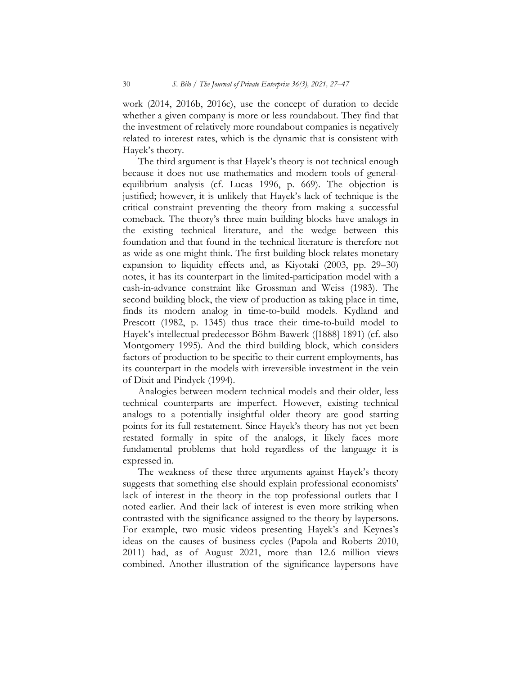work (2014, 2016b, 2016c), use the concept of duration to decide whether a given company is more or less roundabout. They find that the investment of relatively more roundabout companies is negatively related to interest rates, which is the dynamic that is consistent with Hayek's theory.

The third argument is that Hayek's theory is not technical enough because it does not use mathematics and modern tools of generalequilibrium analysis (cf. Lucas 1996, p. 669). The objection is justified; however, it is unlikely that Hayek's lack of technique is the critical constraint preventing the theory from making a successful comeback. The theory's three main building blocks have analogs in the existing technical literature, and the wedge between this foundation and that found in the technical literature is therefore not as wide as one might think. The first building block relates monetary expansion to liquidity effects and, as Kiyotaki (2003, pp. 29–30) notes, it has its counterpart in the limited-participation model with a cash-in-advance constraint like Grossman and Weiss (1983). The second building block, the view of production as taking place in time, finds its modern analog in time-to-build models. Kydland and Prescott (1982, p. 1345) thus trace their time-to-build model to Hayek's intellectual predecessor Böhm-Bawerk ([1888] 1891) (cf. also Montgomery 1995). And the third building block, which considers factors of production to be specific to their current employments, has its counterpart in the models with irreversible investment in the vein of Dixit and Pindyck (1994).

Analogies between modern technical models and their older, less technical counterparts are imperfect. However, existing technical analogs to a potentially insightful older theory are good starting points for its full restatement. Since Hayek's theory has not yet been restated formally in spite of the analogs, it likely faces more fundamental problems that hold regardless of the language it is expressed in.

The weakness of these three arguments against Hayek's theory suggests that something else should explain professional economists' lack of interest in the theory in the top professional outlets that I noted earlier. And their lack of interest is even more striking when contrasted with the significance assigned to the theory by laypersons. For example, two music videos presenting Hayek's and Keynes's ideas on the causes of business cycles (Papola and Roberts 2010, 2011) had, as of August 2021, more than 12.6 million views combined. Another illustration of the significance laypersons have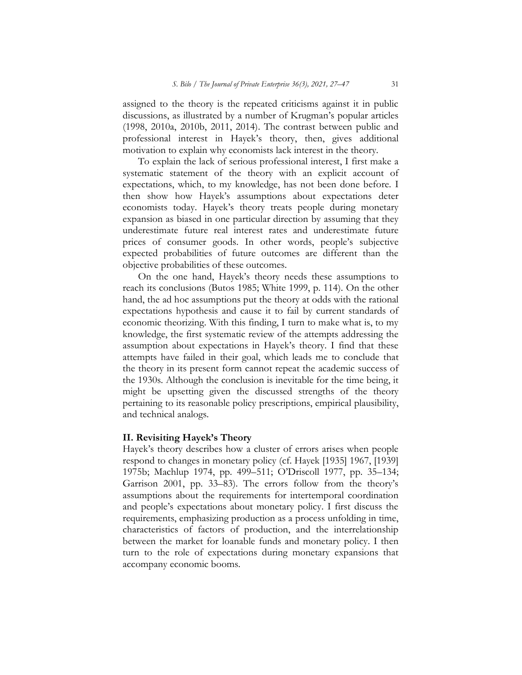assigned to the theory is the repeated criticisms against it in public discussions, as illustrated by a number of Krugman's popular articles (1998, 2010a, 2010b, 2011, 2014). The contrast between public and professional interest in Hayek's theory, then, gives additional motivation to explain why economists lack interest in the theory.

To explain the lack of serious professional interest, I first make a systematic statement of the theory with an explicit account of expectations, which, to my knowledge, has not been done before. I then show how Hayek's assumptions about expectations deter economists today. Hayek's theory treats people during monetary expansion as biased in one particular direction by assuming that they underestimate future real interest rates and underestimate future prices of consumer goods. In other words, people's subjective expected probabilities of future outcomes are different than the objective probabilities of these outcomes.

On the one hand, Hayek's theory needs these assumptions to reach its conclusions (Butos 1985; White 1999, p. 114). On the other hand, the ad hoc assumptions put the theory at odds with the rational expectations hypothesis and cause it to fail by current standards of economic theorizing. With this finding, I turn to make what is, to my knowledge, the first systematic review of the attempts addressing the assumption about expectations in Hayek's theory. I find that these attempts have failed in their goal, which leads me to conclude that the theory in its present form cannot repeat the academic success of the 1930s. Although the conclusion is inevitable for the time being, it might be upsetting given the discussed strengths of the theory pertaining to its reasonable policy prescriptions, empirical plausibility, and technical analogs.

# II. Revisiting Hayek's Theory

Hayek's theory describes how a cluster of errors arises when people respond to changes in monetary policy (cf. Hayek [1935] 1967, [1939] 1975b; Machlup 1974, pp. 499–511; O'Driscoll 1977, pp. 35–134; Garrison 2001, pp. 33–83). The errors follow from the theory's assumptions about the requirements for intertemporal coordination and people's expectations about monetary policy. I first discuss the requirements, emphasizing production as a process unfolding in time, characteristics of factors of production, and the interrelationship between the market for loanable funds and monetary policy. I then turn to the role of expectations during monetary expansions that accompany economic booms.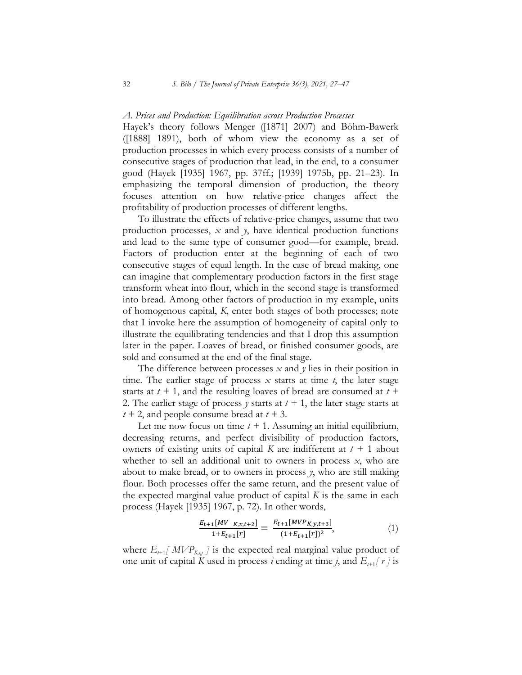#### A. Prices and Production: Equilibration across Production Processes

Hayek's theory follows Menger ([1871] 2007) and Böhm-Bawerk ([1888] 1891), both of whom view the economy as a set of production processes in which every process consists of a number of consecutive stages of production that lead, in the end, to a consumer good (Hayek [1935] 1967, pp. 37ff.; [1939] 1975b, pp. 21–23). In emphasizing the temporal dimension of production, the theory focuses attention on how relative-price changes affect the profitability of production processes of different lengths.

To illustrate the effects of relative-price changes, assume that two production processes,  $x$  and  $y$ , have identical production functions and lead to the same type of consumer good—for example, bread. Factors of production enter at the beginning of each of two consecutive stages of equal length. In the case of bread making, one can imagine that complementary production factors in the first stage transform wheat into flour, which in the second stage is transformed into bread. Among other factors of production in my example, units of homogenous capital, K, enter both stages of both processes; note that I invoke here the assumption of homogeneity of capital only to illustrate the equilibrating tendencies and that I drop this assumption later in the paper. Loaves of bread, or finished consumer goods, are sold and consumed at the end of the final stage.

The difference between processes x and  $\bar{y}$  lies in their position in time. The earlier stage of process  $x$  starts at time  $t$ , the later stage starts at  $t + 1$ , and the resulting loaves of bread are consumed at  $t +$ 2. The earlier stage of process y starts at  $t + 1$ , the later stage starts at  $t + 2$ , and people consume bread at  $t + 3$ .

Let me now focus on time  $t + 1$ . Assuming an initial equilibrium, decreasing returns, and perfect divisibility of production factors, owners of existing units of capital K are indifferent at  $t + 1$  about whether to sell an additional unit to owners in process  $x$ , who are about to make bread, or to owners in process y, who are still making flour. Both processes offer the same return, and the present value of the expected marginal value product of capital  $K$  is the same in each process (Hayek [1935] 1967, p. 72). In other words,

$$
\frac{E_{t+1}[MV_{K,x,t+2}]}{1+E_{t+1}[r]} = \frac{E_{t+1}[MVP_{K,y,t+3}]}{(1+E_{t+1}[r])^2},\tag{1}
$$

where  $E_{t+1}[MVP_{K,i,j}]$  is the expected real marginal value product of one unit of capital K used in process i ending at time j, and  $E_{t+1}[r]$  is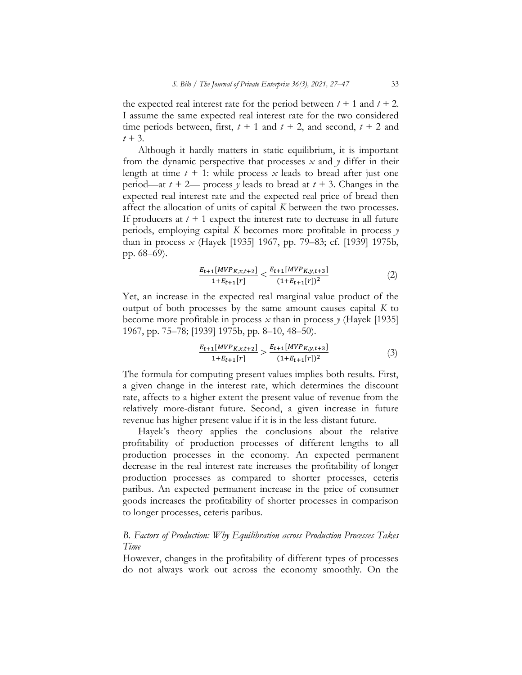the expected real interest rate for the period between  $t + 1$  and  $t + 2$ . I assume the same expected real interest rate for the two considered time periods between, first,  $t + 1$  and  $t + 2$ , and second,  $t + 2$  and  $t + 3$ .

Although it hardly matters in static equilibrium, it is important from the dynamic perspective that processes  $x$  and  $y$  differ in their length at time  $t + 1$ : while process x leads to bread after just one period—at  $t + 2$ — process y leads to bread at  $t + 3$ . Changes in the expected real interest rate and the expected real price of bread then affect the allocation of units of capital K between the two processes. If producers at  $t + 1$  expect the interest rate to decrease in all future periods, employing capital K becomes more profitable in process  $\gamma$ than in process x (Hayek [1935] 1967, pp. 79–83; cf. [1939] 1975b, pp. 68–69).

$$
\frac{E_{t+1}[MVP_{K,x,t+2}]}{1+E_{t+1}[r]} < \frac{E_{t+1}[MVP_{K,y,t+3}]}{(1+E_{t+1}[r])^2} \tag{2}
$$

Yet, an increase in the expected real marginal value product of the output of both processes by the same amount causes capital  $K$  to become more profitable in process  $x$  than in process  $y$  (Hayek [1935] 1967, pp. 75–78; [1939] 1975b, pp. 8–10, 48–50).

$$
\frac{E_{t+1}[MVP_{K,x,t+2}]}{1+E_{t+1}[r]} > \frac{E_{t+1}[MVP_{K,y,t+3}]}{(1+E_{t+1}[r])^2} \tag{3}
$$

The formula for computing present values implies both results. First, a given change in the interest rate, which determines the discount rate, affects to a higher extent the present value of revenue from the relatively more-distant future. Second, a given increase in future revenue has higher present value if it is in the less-distant future.

Hayek's theory applies the conclusions about the relative profitability of production processes of different lengths to all production processes in the economy. An expected permanent decrease in the real interest rate increases the profitability of longer production processes as compared to shorter processes, ceteris paribus. An expected permanent increase in the price of consumer goods increases the profitability of shorter processes in comparison to longer processes, ceteris paribus.

#### B. Factors of Production: Why Equilibration across Production Processes Takes Time

However, changes in the profitability of different types of processes do not always work out across the economy smoothly. On the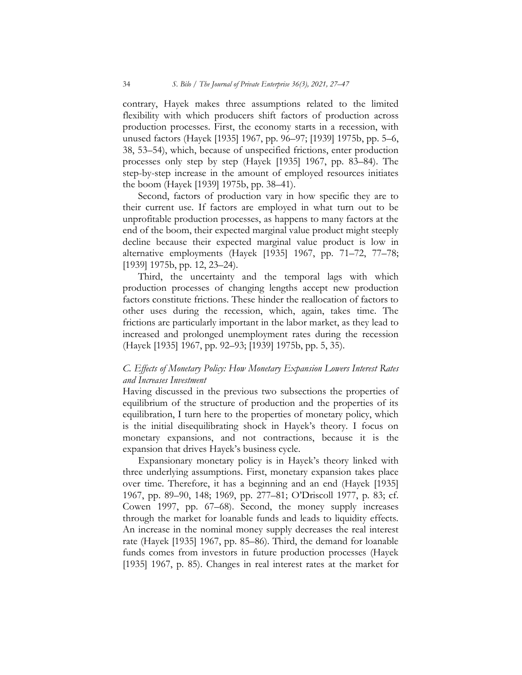contrary, Hayek makes three assumptions related to the limited flexibility with which producers shift factors of production across production processes. First, the economy starts in a recession, with unused factors (Hayek [1935] 1967, pp. 96–97; [1939] 1975b, pp. 5–6, 38, 53–54), which, because of unspecified frictions, enter production processes only step by step (Hayek [1935] 1967, pp. 83–84). The step-by-step increase in the amount of employed resources initiates the boom (Hayek [1939] 1975b, pp. 38–41).

Second, factors of production vary in how specific they are to their current use. If factors are employed in what turn out to be unprofitable production processes, as happens to many factors at the end of the boom, their expected marginal value product might steeply decline because their expected marginal value product is low in alternative employments (Hayek [1935] 1967, pp. 71–72, 77–78; [1939] 1975b, pp. 12, 23–24).

Third, the uncertainty and the temporal lags with which production processes of changing lengths accept new production factors constitute frictions. These hinder the reallocation of factors to other uses during the recession, which, again, takes time. The frictions are particularly important in the labor market, as they lead to increased and prolonged unemployment rates during the recession (Hayek [1935] 1967, pp. 92–93; [1939] 1975b, pp. 5, 35).

#### C. Effects of Monetary Policy: How Monetary Expansion Lowers Interest Rates and Increases Investment

Having discussed in the previous two subsections the properties of equilibrium of the structure of production and the properties of its equilibration, I turn here to the properties of monetary policy, which is the initial disequilibrating shock in Hayek's theory. I focus on monetary expansions, and not contractions, because it is the expansion that drives Hayek's business cycle.

Expansionary monetary policy is in Hayek's theory linked with three underlying assumptions. First, monetary expansion takes place over time. Therefore, it has a beginning and an end (Hayek [1935] 1967, pp. 89–90, 148; 1969, pp. 277–81; O'Driscoll 1977, p. 83; cf. Cowen 1997, pp. 67–68). Second, the money supply increases through the market for loanable funds and leads to liquidity effects. An increase in the nominal money supply decreases the real interest rate (Hayek [1935] 1967, pp. 85–86). Third, the demand for loanable funds comes from investors in future production processes (Hayek [1935] 1967, p. 85). Changes in real interest rates at the market for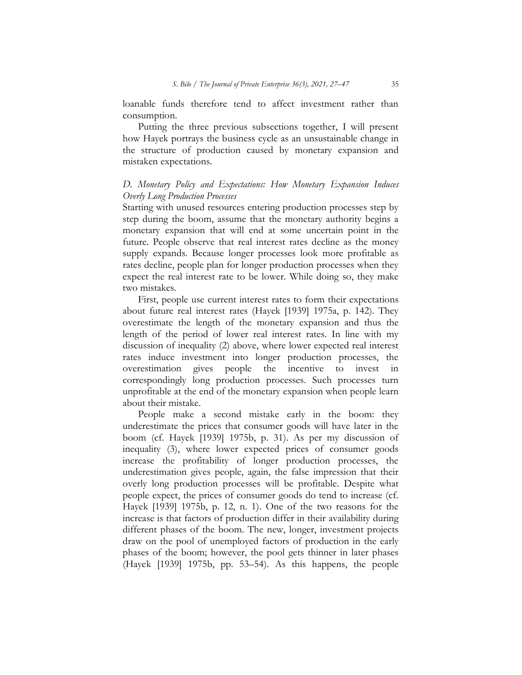loanable funds therefore tend to affect investment rather than consumption.

Putting the three previous subsections together, I will present how Hayek portrays the business cycle as an unsustainable change in the structure of production caused by monetary expansion and mistaken expectations.

# D. Monetary Policy and Expectations: How Monetary Expansion Induces Overly Long Production Processes

Starting with unused resources entering production processes step by step during the boom, assume that the monetary authority begins a monetary expansion that will end at some uncertain point in the future. People observe that real interest rates decline as the money supply expands. Because longer processes look more profitable as rates decline, people plan for longer production processes when they expect the real interest rate to be lower. While doing so, they make two mistakes.

First, people use current interest rates to form their expectations about future real interest rates (Hayek [1939] 1975a, p. 142). They overestimate the length of the monetary expansion and thus the length of the period of lower real interest rates. In line with my discussion of inequality (2) above, where lower expected real interest rates induce investment into longer production processes, the overestimation gives people the incentive to invest in correspondingly long production processes. Such processes turn unprofitable at the end of the monetary expansion when people learn about their mistake.

People make a second mistake early in the boom: they underestimate the prices that consumer goods will have later in the boom (cf. Hayek [1939] 1975b, p. 31). As per my discussion of inequality (3), where lower expected prices of consumer goods increase the profitability of longer production processes, the underestimation gives people, again, the false impression that their overly long production processes will be profitable. Despite what people expect, the prices of consumer goods do tend to increase (cf. Hayek [1939] 1975b, p. 12, n. 1). One of the two reasons for the increase is that factors of production differ in their availability during different phases of the boom. The new, longer, investment projects draw on the pool of unemployed factors of production in the early phases of the boom; however, the pool gets thinner in later phases (Hayek [1939] 1975b, pp. 53–54). As this happens, the people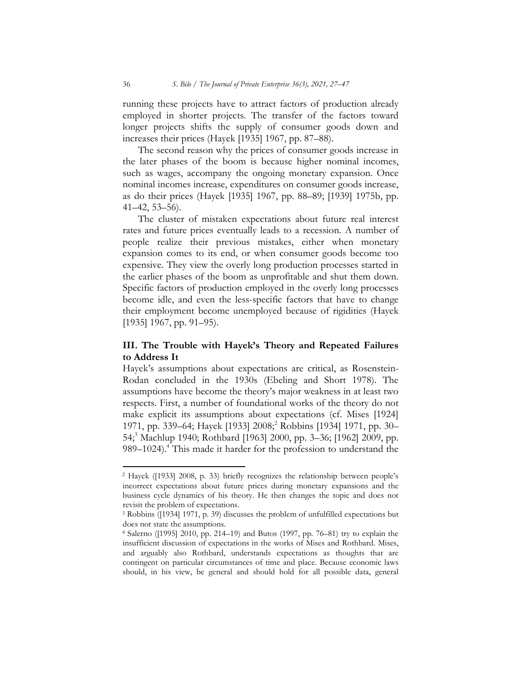running these projects have to attract factors of production already employed in shorter projects. The transfer of the factors toward longer projects shifts the supply of consumer goods down and increases their prices (Hayek [1935] 1967, pp. 87–88).

The second reason why the prices of consumer goods increase in the later phases of the boom is because higher nominal incomes, such as wages, accompany the ongoing monetary expansion. Once nominal incomes increase, expenditures on consumer goods increase, as do their prices (Hayek [1935] 1967, pp. 88–89; [1939] 1975b, pp. 41–42, 53–56).

The cluster of mistaken expectations about future real interest rates and future prices eventually leads to a recession. A number of people realize their previous mistakes, either when monetary expansion comes to its end, or when consumer goods become too expensive. They view the overly long production processes started in the earlier phases of the boom as unprofitable and shut them down. Specific factors of production employed in the overly long processes become idle, and even the less-specific factors that have to change their employment become unemployed because of rigidities (Hayek [1935] 1967, pp. 91–95).

# III. The Trouble with Hayek's Theory and Repeated Failures to Address It

Hayek's assumptions about expectations are critical, as Rosenstein-Rodan concluded in the 1930s (Ebeling and Short 1978). The assumptions have become the theory's major weakness in at least two respects. First, a number of foundational works of the theory do not make explicit its assumptions about expectations (cf. Mises [1924] 1971, pp. 339–64; Hayek [1933] 2008;<sup>2</sup> Robbins [1934] 1971, pp. 30– 54;<sup>3</sup> Machlup 1940; Rothbard [1963] 2000, pp. 3-36; [1962] 2009, pp. 989–1024).<sup>4</sup> This made it harder for the profession to understand the

 $\overline{a}$ 

<sup>2</sup> Hayek ([1933] 2008, p. 33) briefly recognizes the relationship between people's incorrect expectations about future prices during monetary expansions and the business cycle dynamics of his theory. He then changes the topic and does not revisit the problem of expectations.

<sup>3</sup> Robbins ([1934] 1971, p. 39) discusses the problem of unfulfilled expectations but does not state the assumptions.

<sup>4</sup> Salerno ([1995] 2010, pp. 214–19) and Butos (1997, pp. 76–81) try to explain the insufficient discussion of expectations in the works of Mises and Rothbard. Mises, and arguably also Rothbard, understands expectations as thoughts that are contingent on particular circumstances of time and place. Because economic laws should, in his view, be general and should hold for all possible data, general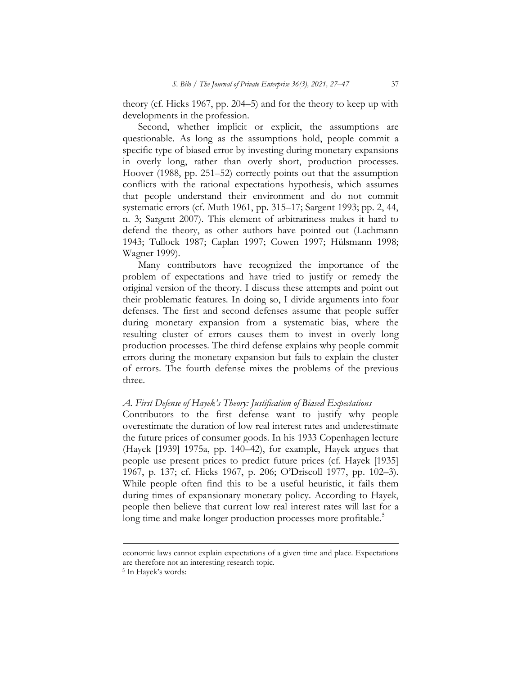theory (cf. Hicks 1967, pp. 204–5) and for the theory to keep up with developments in the profession.

Second, whether implicit or explicit, the assumptions are questionable. As long as the assumptions hold, people commit a specific type of biased error by investing during monetary expansions in overly long, rather than overly short, production processes. Hoover (1988, pp. 251–52) correctly points out that the assumption conflicts with the rational expectations hypothesis, which assumes that people understand their environment and do not commit systematic errors (cf. Muth 1961, pp. 315–17; Sargent 1993; pp. 2, 44, n. 3; Sargent 2007). This element of arbitrariness makes it hard to defend the theory, as other authors have pointed out (Lachmann 1943; Tullock 1987; Caplan 1997; Cowen 1997; Hülsmann 1998; Wagner 1999).

Many contributors have recognized the importance of the problem of expectations and have tried to justify or remedy the original version of the theory. I discuss these attempts and point out their problematic features. In doing so, I divide arguments into four defenses. The first and second defenses assume that people suffer during monetary expansion from a systematic bias, where the resulting cluster of errors causes them to invest in overly long production processes. The third defense explains why people commit errors during the monetary expansion but fails to explain the cluster of errors. The fourth defense mixes the problems of the previous three.

### A. First Defense of Hayek's Theory: Justification of Biased Expectations

Contributors to the first defense want to justify why people overestimate the duration of low real interest rates and underestimate the future prices of consumer goods. In his 1933 Copenhagen lecture (Hayek [1939] 1975a, pp. 140–42), for example, Hayek argues that people use present prices to predict future prices (cf. Hayek [1935] 1967, p. 137; cf. Hicks 1967, p. 206; O'Driscoll 1977, pp. 102–3). While people often find this to be a useful heuristic, it fails them during times of expansionary monetary policy. According to Hayek, people then believe that current low real interest rates will last for a long time and make longer production processes more profitable.<sup>5</sup>

 $\overline{a}$ 

economic laws cannot explain expectations of a given time and place. Expectations are therefore not an interesting research topic.

<sup>5</sup> In Hayek's words: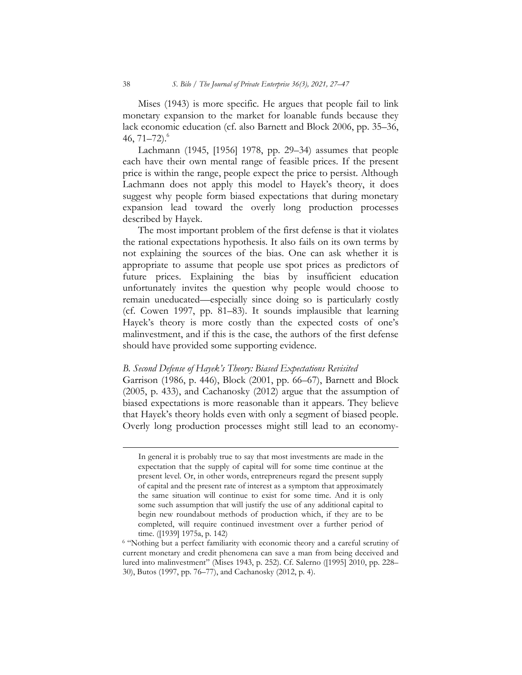Mises (1943) is more specific. He argues that people fail to link monetary expansion to the market for loanable funds because they lack economic education (cf. also Barnett and Block 2006, pp. 35–36, 46,  $71-72$ ).<sup>6</sup>

Lachmann (1945, [1956] 1978, pp. 29–34) assumes that people each have their own mental range of feasible prices. If the present price is within the range, people expect the price to persist. Although Lachmann does not apply this model to Hayek's theory, it does suggest why people form biased expectations that during monetary expansion lead toward the overly long production processes described by Hayek.

The most important problem of the first defense is that it violates the rational expectations hypothesis. It also fails on its own terms by not explaining the sources of the bias. One can ask whether it is appropriate to assume that people use spot prices as predictors of future prices. Explaining the bias by insufficient education unfortunately invites the question why people would choose to remain uneducated—especially since doing so is particularly costly (cf. Cowen 1997, pp. 81–83). It sounds implausible that learning Hayek's theory is more costly than the expected costs of one's malinvestment, and if this is the case, the authors of the first defense should have provided some supporting evidence.

#### B. Second Defense of Hayek's Theory: Biased Expectations Revisited

Garrison (1986, p. 446), Block (2001, pp. 66–67), Barnett and Block (2005, p. 433), and Cachanosky (2012) argue that the assumption of biased expectations is more reasonable than it appears. They believe that Hayek's theory holds even with only a segment of biased people. Overly long production processes might still lead to an economy-

In general it is probably true to say that most investments are made in the expectation that the supply of capital will for some time continue at the present level. Or, in other words, entrepreneurs regard the present supply of capital and the present rate of interest as a symptom that approximately the same situation will continue to exist for some time. And it is only some such assumption that will justify the use of any additional capital to begin new roundabout methods of production which, if they are to be completed, will require continued investment over a further period of time. ([1939] 1975a, p. 142)

<sup>&</sup>lt;sup>6</sup> "Nothing but a perfect familiarity with economic theory and a careful scrutiny of current monetary and credit phenomena can save a man from being deceived and lured into malinvestment" (Mises 1943, p. 252). Cf. Salerno ([1995] 2010, pp. 228– 30), Butos (1997, pp. 76–77), and Cachanosky (2012, p. 4).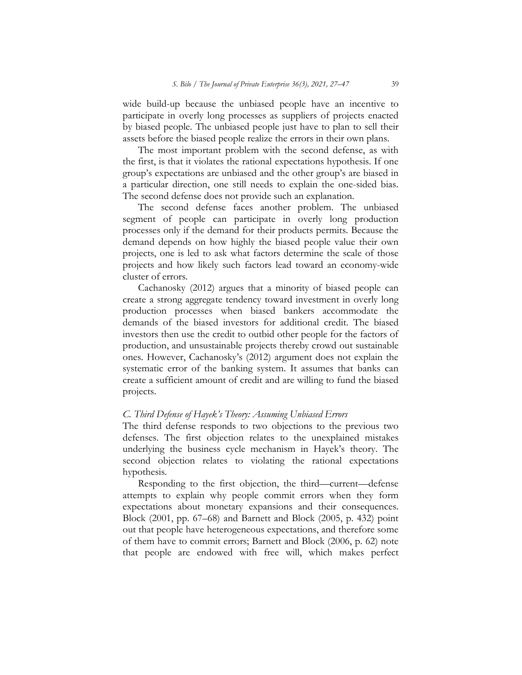wide build-up because the unbiased people have an incentive to participate in overly long processes as suppliers of projects enacted by biased people. The unbiased people just have to plan to sell their assets before the biased people realize the errors in their own plans.

The most important problem with the second defense, as with the first, is that it violates the rational expectations hypothesis. If one group's expectations are unbiased and the other group's are biased in a particular direction, one still needs to explain the one-sided bias. The second defense does not provide such an explanation.

The second defense faces another problem. The unbiased segment of people can participate in overly long production processes only if the demand for their products permits. Because the demand depends on how highly the biased people value their own projects, one is led to ask what factors determine the scale of those projects and how likely such factors lead toward an economy-wide cluster of errors.

Cachanosky (2012) argues that a minority of biased people can create a strong aggregate tendency toward investment in overly long production processes when biased bankers accommodate the demands of the biased investors for additional credit. The biased investors then use the credit to outbid other people for the factors of production, and unsustainable projects thereby crowd out sustainable ones. However, Cachanosky's (2012) argument does not explain the systematic error of the banking system. It assumes that banks can create a sufficient amount of credit and are willing to fund the biased projects.

#### C. Third Defense of Hayek's Theory: Assuming Unbiased Errors

The third defense responds to two objections to the previous two defenses. The first objection relates to the unexplained mistakes underlying the business cycle mechanism in Hayek's theory. The second objection relates to violating the rational expectations hypothesis.

Responding to the first objection, the third—current—defense attempts to explain why people commit errors when they form expectations about monetary expansions and their consequences. Block (2001, pp. 67–68) and Barnett and Block (2005, p. 432) point out that people have heterogeneous expectations, and therefore some of them have to commit errors; Barnett and Block (2006, p. 62) note that people are endowed with free will, which makes perfect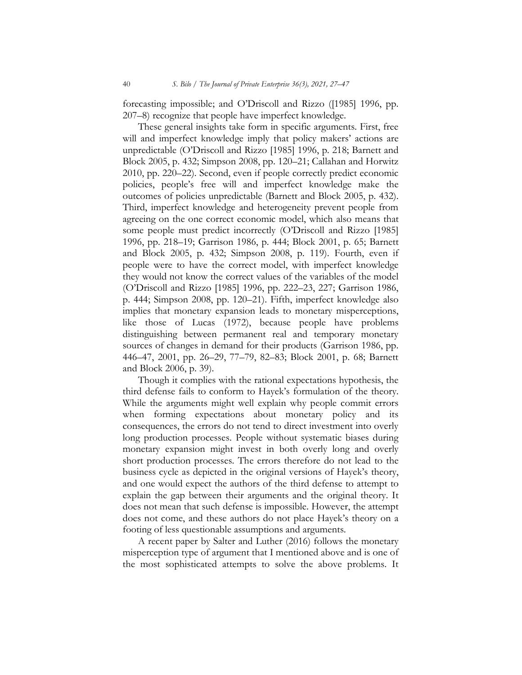forecasting impossible; and O'Driscoll and Rizzo ([1985] 1996, pp. 207–8) recognize that people have imperfect knowledge.

These general insights take form in specific arguments. First, free will and imperfect knowledge imply that policy makers' actions are unpredictable (O'Driscoll and Rizzo [1985] 1996, p. 218; Barnett and Block 2005, p. 432; Simpson 2008, pp. 120–21; Callahan and Horwitz 2010, pp. 220–22). Second, even if people correctly predict economic policies, people's free will and imperfect knowledge make the outcomes of policies unpredictable (Barnett and Block 2005, p. 432). Third, imperfect knowledge and heterogeneity prevent people from agreeing on the one correct economic model, which also means that some people must predict incorrectly (O'Driscoll and Rizzo [1985] 1996, pp. 218–19; Garrison 1986, p. 444; Block 2001, p. 65; Barnett and Block 2005, p. 432; Simpson 2008, p. 119). Fourth, even if people were to have the correct model, with imperfect knowledge they would not know the correct values of the variables of the model (O'Driscoll and Rizzo [1985] 1996, pp. 222–23, 227; Garrison 1986, p. 444; Simpson 2008, pp. 120–21). Fifth, imperfect knowledge also implies that monetary expansion leads to monetary misperceptions, like those of Lucas (1972), because people have problems distinguishing between permanent real and temporary monetary sources of changes in demand for their products (Garrison 1986, pp. 446–47, 2001, pp. 26–29, 77–79, 82–83; Block 2001, p. 68; Barnett and Block 2006, p. 39).

Though it complies with the rational expectations hypothesis, the third defense fails to conform to Hayek's formulation of the theory. While the arguments might well explain why people commit errors when forming expectations about monetary policy and its consequences, the errors do not tend to direct investment into overly long production processes. People without systematic biases during monetary expansion might invest in both overly long and overly short production processes. The errors therefore do not lead to the business cycle as depicted in the original versions of Hayek's theory, and one would expect the authors of the third defense to attempt to explain the gap between their arguments and the original theory. It does not mean that such defense is impossible. However, the attempt does not come, and these authors do not place Hayek's theory on a footing of less questionable assumptions and arguments.

A recent paper by Salter and Luther (2016) follows the monetary misperception type of argument that I mentioned above and is one of the most sophisticated attempts to solve the above problems. It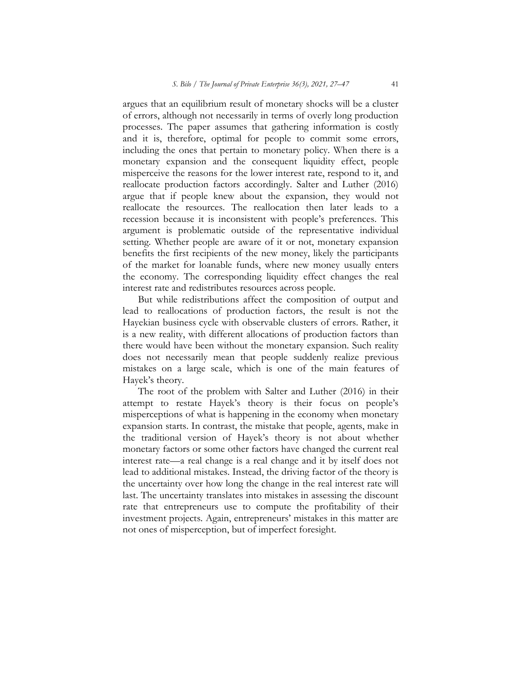argues that an equilibrium result of monetary shocks will be a cluster of errors, although not necessarily in terms of overly long production processes. The paper assumes that gathering information is costly and it is, therefore, optimal for people to commit some errors, including the ones that pertain to monetary policy. When there is a monetary expansion and the consequent liquidity effect, people misperceive the reasons for the lower interest rate, respond to it, and reallocate production factors accordingly. Salter and Luther (2016) argue that if people knew about the expansion, they would not reallocate the resources. The reallocation then later leads to a recession because it is inconsistent with people's preferences. This argument is problematic outside of the representative individual setting. Whether people are aware of it or not, monetary expansion benefits the first recipients of the new money, likely the participants of the market for loanable funds, where new money usually enters the economy. The corresponding liquidity effect changes the real interest rate and redistributes resources across people.

But while redistributions affect the composition of output and lead to reallocations of production factors, the result is not the Hayekian business cycle with observable clusters of errors. Rather, it is a new reality, with different allocations of production factors than there would have been without the monetary expansion. Such reality does not necessarily mean that people suddenly realize previous mistakes on a large scale, which is one of the main features of Hayek's theory.

The root of the problem with Salter and Luther (2016) in their attempt to restate Hayek's theory is their focus on people's misperceptions of what is happening in the economy when monetary expansion starts. In contrast, the mistake that people, agents, make in the traditional version of Hayek's theory is not about whether monetary factors or some other factors have changed the current real interest rate—a real change is a real change and it by itself does not lead to additional mistakes. Instead, the driving factor of the theory is the uncertainty over how long the change in the real interest rate will last. The uncertainty translates into mistakes in assessing the discount rate that entrepreneurs use to compute the profitability of their investment projects. Again, entrepreneurs' mistakes in this matter are not ones of misperception, but of imperfect foresight.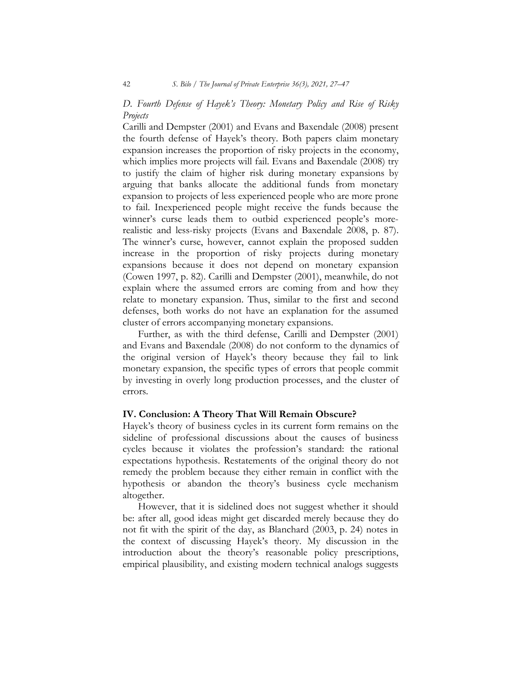D. Fourth Defense of Hayek's Theory: Monetary Policy and Rise of Risky Projects

Carilli and Dempster (2001) and Evans and Baxendale (2008) present the fourth defense of Hayek's theory. Both papers claim monetary expansion increases the proportion of risky projects in the economy, which implies more projects will fail. Evans and Baxendale (2008) try to justify the claim of higher risk during monetary expansions by arguing that banks allocate the additional funds from monetary expansion to projects of less experienced people who are more prone to fail. Inexperienced people might receive the funds because the winner's curse leads them to outbid experienced people's morerealistic and less-risky projects (Evans and Baxendale 2008, p. 87). The winner's curse, however, cannot explain the proposed sudden increase in the proportion of risky projects during monetary expansions because it does not depend on monetary expansion (Cowen 1997, p. 82). Carilli and Dempster (2001), meanwhile, do not explain where the assumed errors are coming from and how they relate to monetary expansion. Thus, similar to the first and second defenses, both works do not have an explanation for the assumed cluster of errors accompanying monetary expansions.

Further, as with the third defense, Carilli and Dempster (2001) and Evans and Baxendale (2008) do not conform to the dynamics of the original version of Hayek's theory because they fail to link monetary expansion, the specific types of errors that people commit by investing in overly long production processes, and the cluster of errors.

#### IV. Conclusion: A Theory That Will Remain Obscure?

Hayek's theory of business cycles in its current form remains on the sideline of professional discussions about the causes of business cycles because it violates the profession's standard: the rational expectations hypothesis. Restatements of the original theory do not remedy the problem because they either remain in conflict with the hypothesis or abandon the theory's business cycle mechanism altogether.

However, that it is sidelined does not suggest whether it should be: after all, good ideas might get discarded merely because they do not fit with the spirit of the day, as Blanchard (2003, p. 24) notes in the context of discussing Hayek's theory. My discussion in the introduction about the theory's reasonable policy prescriptions, empirical plausibility, and existing modern technical analogs suggests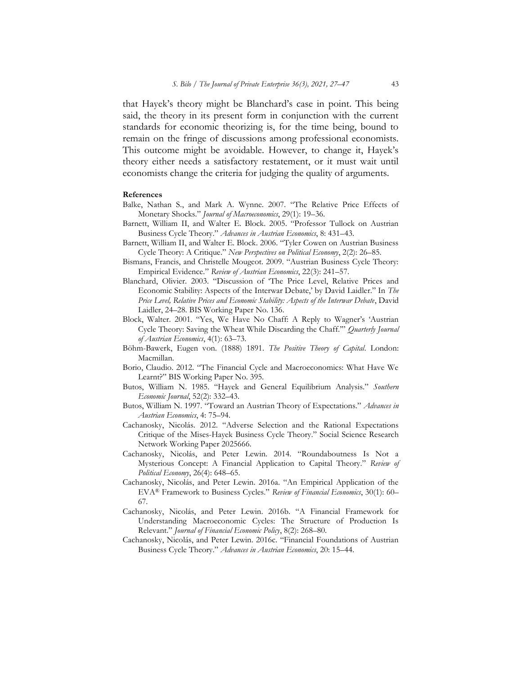that Hayek's theory might be Blanchard's case in point. This being said, the theory in its present form in conjunction with the current standards for economic theorizing is, for the time being, bound to remain on the fringe of discussions among professional economists. This outcome might be avoidable. However, to change it, Hayek's theory either needs a satisfactory restatement, or it must wait until economists change the criteria for judging the quality of arguments.

#### References

- Balke, Nathan S., and Mark A. Wynne. 2007. "The Relative Price Effects of Monetary Shocks." Journal of Macroeconomics, 29(1): 19-36.
- Barnett, William II, and Walter E. Block. 2005. "Professor Tullock on Austrian Business Cycle Theory." Advances in Austrian Economics, 8: 431-43.
- Barnett, William II, and Walter E. Block. 2006. "Tyler Cowen on Austrian Business Cycle Theory: A Critique." New Perspectives on Political Economy, 2(2): 26–85.
- Bismans, Francis, and Christelle Mougeot. 2009. "Austrian Business Cycle Theory: Empirical Evidence." Review of Austrian Economics, 22(3): 241–57.
- Blanchard, Olivier. 2003. "Discussion of 'The Price Level, Relative Prices and Economic Stability: Aspects of the Interwar Debate,' by David Laidler." In The Price Level, Relative Prices and Economic Stability: Aspects of the Interwar Debate, David Laidler, 24–28. BIS Working Paper No. 136.
- Block, Walter. 2001. "Yes, We Have No Chaff: A Reply to Wagner's 'Austrian Cycle Theory: Saving the Wheat While Discarding the Chaff."" Quarterly Journal of Austrian Economics, 4(1): 63–73.
- Böhm-Bawerk, Eugen von. (1888) 1891. The Positive Theory of Capital. London: Macmillan.
- Borio, Claudio. 2012. "The Financial Cycle and Macroeconomics: What Have We Learnt?" BIS Working Paper No. 395.
- Butos, William N. 1985. "Hayek and General Equilibrium Analysis." Southern Economic Journal, 52(2): 332–43.
- Butos, William N. 1997. "Toward an Austrian Theory of Expectations." Advances in Austrian Economics, 4: 75–94.
- Cachanosky, Nicolás. 2012. "Adverse Selection and the Rational Expectations Critique of the Mises-Hayek Business Cycle Theory." Social Science Research Network Working Paper 2025666.
- Cachanosky, Nicolás, and Peter Lewin. 2014. "Roundaboutness Is Not a Mysterious Concept: A Financial Application to Capital Theory." Review of Political Economy, 26(4): 648–65.
- Cachanosky, Nicolás, and Peter Lewin. 2016a. "An Empirical Application of the EVA<sup>®</sup> Framework to Business Cycles." Review of Financial Economics, 30(1): 60– 67.
- Cachanosky, Nicolás, and Peter Lewin. 2016b. "A Financial Framework for Understanding Macroeconomic Cycles: The Structure of Production Is Relevant." Journal of Financial Economic Policy, 8(2): 268–80.
- Cachanosky, Nicolás, and Peter Lewin. 2016c. "Financial Foundations of Austrian Business Cycle Theory." Advances in Austrian Economics, 20: 15-44.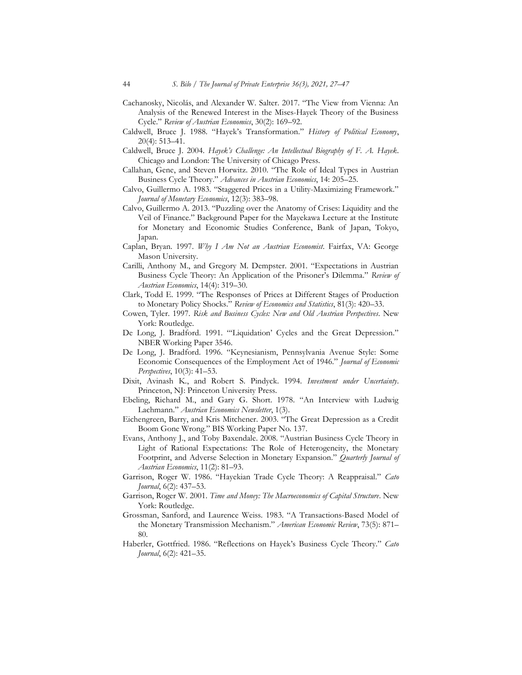- Cachanosky, Nicolás, and Alexander W. Salter. 2017. "The View from Vienna: An Analysis of the Renewed Interest in the Mises-Hayek Theory of the Business Cycle." Review of Austrian Economics, 30(2): 169–92.
- Caldwell, Bruce J. 1988. "Hayek's Transformation." History of Political Economy, 20(4): 513–41.
- Caldwell, Bruce J. 2004. Hayek's Challenge: An Intellectual Biography of F. A. Hayek. Chicago and London: The University of Chicago Press.
- Callahan, Gene, and Steven Horwitz. 2010. "The Role of Ideal Types in Austrian Business Cycle Theory." Advances in Austrian Economics, 14: 205-25.
- Calvo, Guillermo A. 1983. "Staggered Prices in a Utility-Maximizing Framework." Journal of Monetary Economics, 12(3): 383–98.
- Calvo, Guillermo A. 2013. "Puzzling over the Anatomy of Crises: Liquidity and the Veil of Finance." Background Paper for the Mayekawa Lecture at the Institute for Monetary and Economic Studies Conference, Bank of Japan, Tokyo, Japan.
- Caplan, Bryan. 1997. Why I Am Not an Austrian Economist. Fairfax, VA: George Mason University.
- Carilli, Anthony M., and Gregory M. Dempster. 2001. "Expectations in Austrian Business Cycle Theory: An Application of the Prisoner's Dilemma." Review of Austrian Economics, 14(4): 319–30.
- Clark, Todd E. 1999. "The Responses of Prices at Different Stages of Production to Monetary Policy Shocks." Review of Economics and Statistics, 81(3): 420-33.
- Cowen, Tyler. 1997. Risk and Business Cycles: New and Old Austrian Perspectives. New York: Routledge.
- De Long, J. Bradford. 1991. "'Liquidation' Cycles and the Great Depression." NBER Working Paper 3546.
- De Long, J. Bradford. 1996. "Keynesianism, Pennsylvania Avenue Style: Some Economic Consequences of the Employment Act of 1946." Journal of Economic Perspectives, 10(3): 41–53.
- Dixit, Avinash K., and Robert S. Pindyck. 1994. Investment under Uncertainty. Princeton, NJ: Princeton University Press.
- Ebeling, Richard M., and Gary G. Short. 1978. "An Interview with Ludwig Lachmann." Austrian Economics Newsletter, 1(3).
- Eichengreen, Barry, and Kris Mitchener. 2003. "The Great Depression as a Credit Boom Gone Wrong." BIS Working Paper No. 137.
- Evans, Anthony J., and Toby Baxendale. 2008. "Austrian Business Cycle Theory in Light of Rational Expectations: The Role of Heterogeneity, the Monetary Footprint, and Adverse Selection in Monetary Expansion." Quarterly Journal of Austrian Economics, 11(2): 81–93.
- Garrison, Roger W. 1986. "Hayekian Trade Cycle Theory: A Reappraisal." Cato Journal, 6(2): 437–53.
- Garrison, Roger W. 2001. Time and Money: The Macroeconomics of Capital Structure. New York: Routledge.
- Grossman, Sanford, and Laurence Weiss. 1983. "A Transactions-Based Model of the Monetary Transmission Mechanism." American Economic Review, 73(5): 871-80.
- Haberler, Gottfried. 1986. "Reflections on Hayek's Business Cycle Theory." Cato Journal, 6(2): 421–35.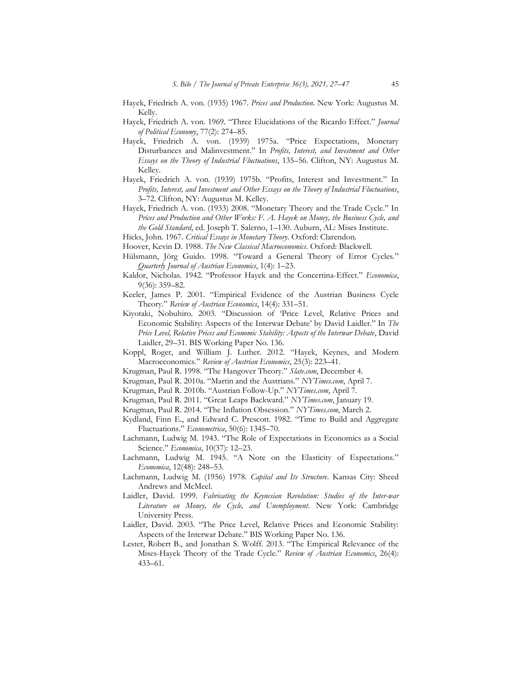- Hayek, Friedrich A. von. (1935) 1967. Prices and Production. New York: Augustus M. Kelly.
- Hayek, Friedrich A. von. 1969. "Three Elucidations of the Ricardo Effect." Journal of Political Economy, 77(2): 274–85.
- Hayek, Friedrich A. von. (1939) 1975a. "Price Expectations, Monetary Disturbances and Malinvestment." In Profits, Interest, and Investment and Other Essays on the Theory of Industrial Fluctuations, 135–56. Clifton, NY: Augustus M. Kelley.
- Hayek, Friedrich A. von. (1939) 1975b. "Profits, Interest and Investment." In Profits, Interest, and Investment and Other Essays on the Theory of Industrial Fluctuations, 3–72. Clifton, NY: Augustus M. Kelley.
- Hayek, Friedrich A. von. (1933) 2008. "Monetary Theory and the Trade Cycle." In Prices and Production and Other Works: F. A. Hayek on Money, the Business Cycle, and the Gold Standard, ed. Joseph T. Salerno, 1–130. Auburn, AL: Mises Institute.
- Hicks, John. 1967. Critical Essays in Monetary Theory. Oxford: Clarendon.
- Hoover, Kevin D. 1988. The New Classical Macroeconomics. Oxford: Blackwell.
- Hülsmann, Jörg Guido. 1998. "Toward a General Theory of Error Cycles." Quarterly Journal of Austrian Economics, 1(4): 1–23.
- Kaldor, Nicholas. 1942. "Professor Hayek and the Concertina-Effect." Economica, 9(36): 359–82.
- Keeler, James P. 2001. "Empirical Evidence of the Austrian Business Cycle Theory." Review of Austrian Economics, 14(4): 331–51.
- Kiyotaki, Nobuhiro. 2003. "Discussion of 'Price Level, Relative Prices and Economic Stability: Aspects of the Interwar Debate' by David Laidler." In The Price Level, Relative Prices and Economic Stability: Aspects of the Interwar Debate, David Laidler, 29–31. BIS Working Paper No. 136.
- Koppl, Roger, and William J. Luther. 2012. "Hayek, Keynes, and Modern Macroeconomics." Review of Austrian Economics, 25(3): 223-41.
- Krugman, Paul R. 1998. "The Hangover Theory." Slate.com, December 4.
- Krugman, Paul R. 2010a. "Martin and the Austrians." NYTimes.com, April 7.
- Krugman, Paul R. 2010b. "Austrian Follow-Up." NYTimes.com, April 7.
- Krugman, Paul R. 2011. "Great Leaps Backward." NYTimes.com, January 19.
- Krugman, Paul R. 2014. "The Inflation Obsession." NYTimes.com, March 2.
- Kydland, Finn E., and Edward C. Prescott. 1982. "Time to Build and Aggregate Fluctuations." Econometrica, 50(6): 1345–70.
- Lachmann, Ludwig M. 1943. "The Role of Expectations in Economics as a Social Science." Economica, 10(37): 12-23.
- Lachmann, Ludwig M. 1945. "A Note on the Elasticity of Expectations." Economica, 12(48): 248–53.
- Lachmann, Ludwig M. (1956) 1978. Capital and Its Structure. Kansas City: Sheed Andrews and McMeel.
- Laidler, David. 1999. Fabricating the Keynesian Revolution: Studies of the Inter-war Literature on Money, the Cycle, and Unemployment. New York: Cambridge University Press.
- Laidler, David. 2003. "The Price Level, Relative Prices and Economic Stability: Aspects of the Interwar Debate." BIS Working Paper No. 136.
- Lester, Robert B., and Jonathan S. Wolff. 2013. "The Empirical Relevance of the Mises-Hayek Theory of the Trade Cycle." Review of Austrian Economics, 26(4): 433–61.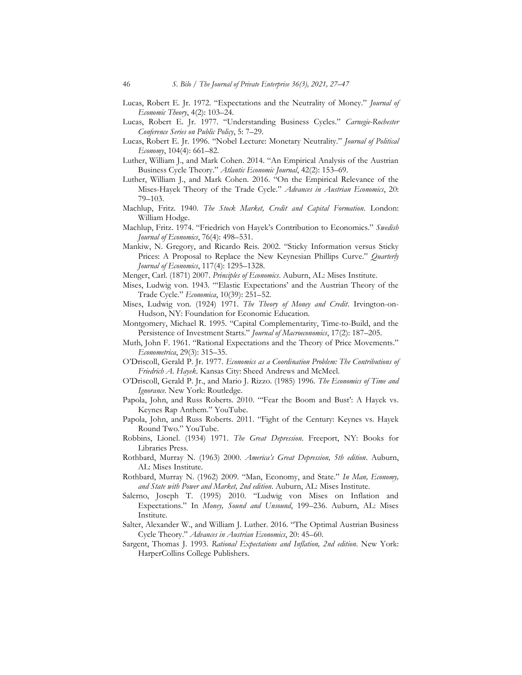- Lucas, Robert E. Jr. 1972. "Expectations and the Neutrality of Money." *Journal of* Economic Theory, 4(2): 103–24.
- Lucas, Robert E. Jr. 1977. "Understanding Business Cycles." Carnegie-Rochester Conference Series on Public Policy, 5: 7–29.
- Lucas, Robert E. Jr. 1996. "Nobel Lecture: Monetary Neutrality." Journal of Political Economy, 104(4): 661–82.
- Luther, William J., and Mark Cohen. 2014. "An Empirical Analysis of the Austrian Business Cycle Theory." Atlantic Economic Journal, 42(2): 153–69.
- Luther, William J., and Mark Cohen. 2016. "On the Empirical Relevance of the Mises-Hayek Theory of the Trade Cycle." Advances in Austrian Economics, 20: 79–103.
- Machlup, Fritz. 1940. The Stock Market, Credit and Capital Formation. London: William Hodge.
- Machlup, Fritz. 1974. "Friedrich von Hayek's Contribution to Economics." Swedish Journal of Economics, 76(4): 498–531.
- Mankiw, N. Gregory, and Ricardo Reis. 2002. "Sticky Information versus Sticky Prices: A Proposal to Replace the New Keynesian Phillips Curve." Quarterly Journal of Economics, 117(4): 1295–1328.
- Menger, Carl. (1871) 2007. Principles of Economics. Auburn, AL: Mises Institute.
- Mises, Ludwig von. 1943. "'Elastic Expectations' and the Austrian Theory of the Trade Cycle." Economica, 10(39): 251–52.
- Mises, Ludwig von. (1924) 1971. The Theory of Money and Credit. Irvington-on-Hudson, NY: Foundation for Economic Education.
- Montgomery, Michael R. 1995. "Capital Complementarity, Time-to-Build, and the Persistence of Investment Starts." Journal of Macroeconomics, 17(2): 187-205.
- Muth, John F. 1961. "Rational Expectations and the Theory of Price Movements." Econometrica, 29(3): 315–35.
- O'Driscoll, Gerald P. Jr. 1977. Economics as a Coordination Problem: The Contributions of Friedrich A. Hayek. Kansas City: Sheed Andrews and McMeel.
- O'Driscoll, Gerald P. Jr., and Mario J. Rizzo. (1985) 1996. The Economics of Time and Ignorance. New York: Routledge.
- Papola, John, and Russ Roberts. 2010. "'Fear the Boom and Bust': A Hayek vs. Keynes Rap Anthem." YouTube.
- Papola, John, and Russ Roberts. 2011. "Fight of the Century: Keynes vs. Hayek Round Two." YouTube.
- Robbins, Lionel. (1934) 1971. The Great Depression. Freeport, NY: Books for Libraries Press.
- Rothbard, Murray N. (1963) 2000. America's Great Depression, 5th edition. Auburn, AL: Mises Institute.
- Rothbard, Murray N. (1962) 2009. "Man, Economy, and State." In Man, Economy, and State with Power and Market, 2nd edition. Auburn, AL: Mises Institute.
- Salerno, Joseph T. (1995) 2010. "Ludwig von Mises on Inflation and Expectations." In Money, Sound and Unsound, 199–236. Auburn, AL: Mises Institute.
- Salter, Alexander W., and William J. Luther. 2016. "The Optimal Austrian Business Cycle Theory." Advances in Austrian Economics, 20: 45–60.
- Sargent, Thomas J. 1993. Rational Expectations and Inflation, 2nd edition. New York: HarperCollins College Publishers.